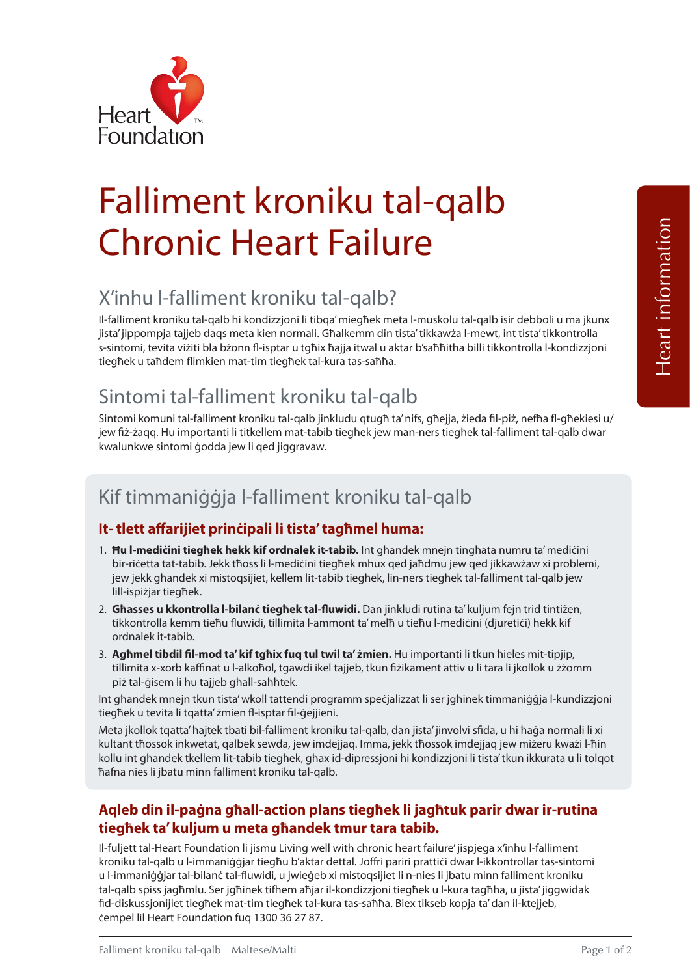

# Falliment kroniku tal-qalb Chronic Heart Failure

## X'inhu l-falliment kroniku tal-qalb?

Il-falliment kroniku tal-qalb hi kondizzjoni li tibqa' miegħek meta l-muskolu tal-qalb isir debboli u ma jkunx jista' jippompja tajjeb daqs meta kien normali. Għalkemm din tista' tikkawża l-mewt, int tista' tikkontrolla s-sintomi, tevita viżiti bla bżonn fl -isptar u tgħix ħajja itwal u aktar b'saħħitha billi tikkontrolla l-kondizzjoni tiegħek u taħdem flimkien mat-tim tiegħek tal-kura tas-saħħa.

## Sintomi tal-falliment kroniku tal-qalb

Sintomi komuni tal-falliment kroniku tal-qalb jinkludu qtugħ ta' nifs, għejja, żieda fil-piż, nefħa fl-għekiesi u/ jew fiż-żagg. Hu importanti li titkellem mat-tabib tiegħek jew man-ners tiegħek tal-falliment tal-galb dwar kwalunkwe sintomi ġodda jew li qed jiggravaw.

## Kif timmaniġġja l-falliment kroniku tal-qalb

#### **It- tlett aff arijiet prinċipali li tista' tagħmel huma:**

- 1. **Ħu l-mediċini tiegħek hekk kif ordnalek it-tabib.** Int għandek mnejn tingħata numru ta' mediċini bir-riċetta tat-tabib. Jekk tħoss li l-mediċini tiegħek mhux qed jaħdmu jew qed jikkawżaw xi problemi, jew jekk għandek xi mistoqsijiet, kellem lit-tabib tiegħek, lin-ners tiegħek tal-falliment tal-qalb jew lill-ispiżjar tiegħek.
- 2. **Għasses u kkontrolla l-bilanċ tiegħek tal-fl uwidi.** Dan jinkludi rutina ta' kuljum fejn trid tintiżen, tikkontrolla kemm tieħu fluwidi, tillimita l-ammont ta' melħ u tieħu l-mediċini (djuretiċi) hekk kif ordnalek it-tabib.
- 3. **Agħmel tibdil fi l-mod ta' kif tgħix fuq tul twil ta' żmien.** Hu importanti li tkun ħieles mit-tipjip, tillimita x-xorb kaffinat u l-alkoħol, tgawdi ikel tajjeb, tkun fi żikament attiv u li tara li jkollok u żżomm piż tal-ġisem li hu tajjeb għall-saħħtek.

Int għandek mnejn tkun tista' wkoll tattendi programm speċjalizzat li ser jgħinek timmaniġġja l-kundizzjoni tiegħek u tevita li tqatta' żmien fl-isptar fil-ġejjieni.

Meta jkollok tqatta' ħajtek tbati bil-falliment kroniku tal-qalb, dan jista' jinvolvi sfida, u hi ħaġa normali li xi kultant tħossok inkwetat, qalbek sewda, jew imdejjaq. Imma, jekk tħossok imdejjaq jew miżeru kważi l-ħin kollu int għandek tkellem lit-tabib tiegħek, għax id-dipressjoni hi kondizzjoni li tista' tkun ikkurata u li tolqot ħafna nies li jbatu minn falliment kroniku tal-qalb.

#### **Aqleb din il-paġna għall-action plans tiegħek li jagħtuk parir dwar ir-rutina tiegħek ta' kuljum u meta għandek tmur tara tabib.**

Il-fuljett tal-Heart Foundation li jismu Living well with chronic heart failure' jispjega x'inhu l-falliment kroniku tal-qalb u l-immaniġġjar tiegħu b'aktar dettal. Joffri pariri prattiċi dwar l-ikkontrollar tas-sintomi u l-immaniġġjar tal-bilanċ tal-fluwidi, u jwieġeb xi mistoqsijiet li n-nies li jbatu minn falliment kroniku tal-qalb spiss jagħmlu. Ser jgħinek tifhem aħjar il-kondizzjoni tiegħek u l-kura tagħha, u jista' jiggwidak fid-diskussjonijiet tiegħek mat-tim tiegħek tal-kura tas-saħħa. Biex tikseb kopja ta' dan il-ktejjeb, ċempel lil Heart Foundation fuq 1300 36 27 87.